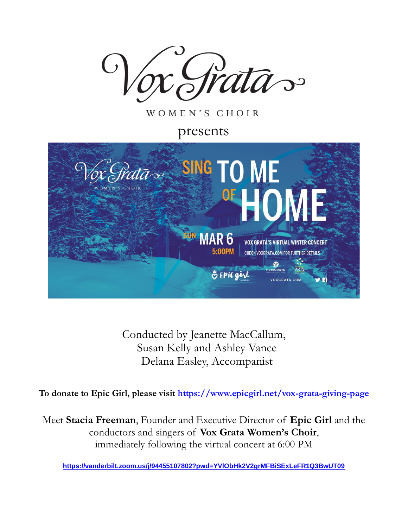

WOMEN'S CHOIR

presents



Conducted by Jeanette MacCallum, Susan Kelly and Ashley Vance Delana Easley, Accompanist

**To donate to Epic Girl, please visit <https://www.epicgirl.net/vox-grata-giving-page>**

Meet **Stacia Freeman**, Founder and Executive Director of **Epic Girl** and the conductors and singers of **Vox Grata Women's Choir**, immediately following the virtual concert at 6:00 PM

**<https://vanderbilt.zoom.us/j/94455107802?pwd=YVlObHk2V2grMFBiSExLeFR1Q3BwUT09>**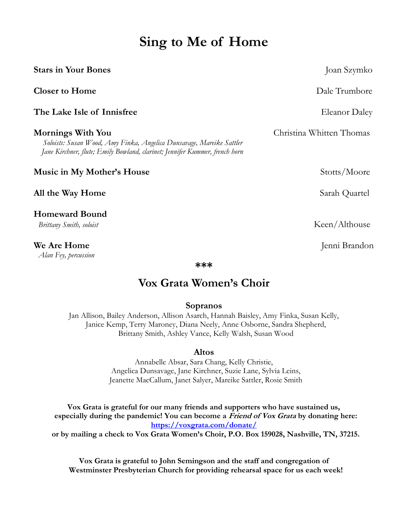# **Sing to Me of Home**

| <b>Stars in Your Bones</b>                                                                                                                                               | Joan Szymko              |
|--------------------------------------------------------------------------------------------------------------------------------------------------------------------------|--------------------------|
| <b>Closer to Home</b>                                                                                                                                                    | Dale Trumbore            |
| The Lake Isle of Innisfree                                                                                                                                               | Eleanor Daley            |
| Mornings With You<br>Soloists: Susan Wood, Amy Finka, Angelica Dunsavage, Mareike Sattler<br>Jane Kirchner, flute; Emily Bowland, clarinet; Jennifer Kummer, french horn | Christina Whitten Thomas |
| <b>Music in My Mother's House</b>                                                                                                                                        | Stotts/Moore             |
| All the Way Home                                                                                                                                                         | Sarah Quartel            |
| <b>Homeward Bound</b><br>Brittany Smith, soloist                                                                                                                         | Keen/Althouse            |
| <b>We Are Home</b>                                                                                                                                                       | Jenni Brandon            |

*Alan Fey, percussion*

**\*\*\***

# **Vox Grata Women's Choir**

# **Sopranos**

Jan Allison, Bailey Anderson, Allison Asarch, Hannah Baisley, Amy Finka, Susan Kelly, Janice Kemp, Terry Maroney, Diana Neely, Anne Osborne, Sandra Shepherd, Brittany Smith, Ashley Vance, Kelly Walsh, Susan Wood

## **Altos**

Annabelle Absar, Sara Chang, Kelly Christie, Angelica Dunsavage, Jane Kirchner, Suzie Lane, Sylvia Leins, Jeanette MacCallum, Janet Salyer, Mareike Sattler, Rosie Smith

**Vox Grata is grateful for our many friends and supporters who have sustained us, especially during the pandemic! You can become a Friend of Vox Grata by donating here: <https://voxgrata.com/donate/> or by mailing a check to Vox Grata Women's Choir, P.O. Box 159028, Nashville, TN, 37215.**

**Vox Grata is grateful to John Semingson and the staff and congregation of Westminster Presbyterian Church for providing rehearsal space for us each week!**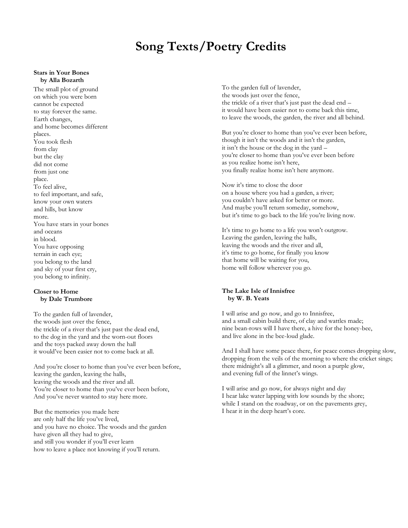# **Song Texts/Poetry Credits**

### **Stars in Your Bones by Alla Bozarth**

The small plot of ground on which you were born cannot be expected to stay forever the same. Earth changes, and home becomes different places. You took flesh from clay but the clay did not come from just one place. To feel alive, to feel important, and safe, know your own waters and hills, but know more. You have stars in your bones and oceans in blood. You have opposing terrain in each eye; you belong to the land and sky of your first cry, you belong to infinity.

### **Closer to Home by Dale Trumbore**

To the garden full of lavender, the woods just over the fence, the trickle of a river that's just past the dead end, to the dog in the yard and the worn-out floors and the toys packed away down the hall it would've been easier not to come back at all.

And you're closer to home than you've ever been before, leaving the garden, leaving the halls, leaving the woods and the river and all. You're closer to home than you've ever been before, And you've never wanted to stay here more.

But the memories you made here are only half the life you've lived, and you have no choice. The woods and the garden have given all they had to give, and still you wonder if you'll ever learn how to leave a place not knowing if you'll return.

To the garden full of lavender, the woods just over the fence, the trickle of a river that's just past the dead end – it would have been easier not to come back this time, to leave the woods, the garden, the river and all behind.

But you're closer to home than you've ever been before, though it isn't the woods and it isn't the garden, it isn't the house or the dog in the yard – you're closer to home than you've ever been before as you realize home isn't here, you finally realize home isn't here anymore.

Now it's time to close the door on a house where you had a garden, a river; you couldn't have asked for better or more. And maybe you'll return someday, somehow, but it's time to go back to the life you're living now.

It's time to go home to a life you won't outgrow. Leaving the garden, leaving the halls, leaving the woods and the river and all, it's time to go home, for finally you know that home will be waiting for you, home will follow wherever you go.

### **The Lake Isle of Innisfree by W. B. Yeats**

I will arise and go now, and go to Innisfree, and a small cabin build there, of clay and wattles made; nine bean-rows will I have there, a hive for the honey-bee, and live alone in the bee-loud glade.

And I shall have some peace there, for peace comes dropping slow, dropping from the veils of the morning to where the cricket sings; there midnight's all a glimmer, and noon a purple glow, and evening full of the linnet's wings.

I will arise and go now, for always night and day I hear lake water lapping with low sounds by the shore; while I stand on the roadway, or on the pavements grey, I hear it in the deep heart's core.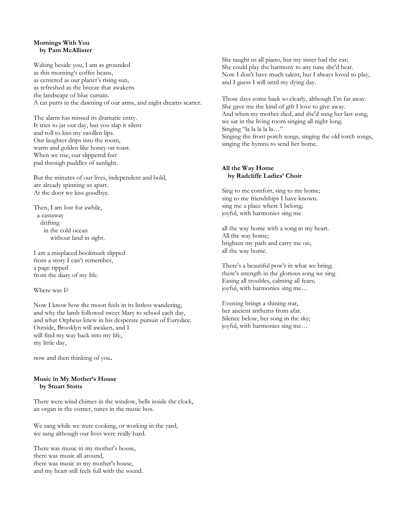### **Mornings With You by Pam McAllister**

Waking beside you, I am as grounded as this morning's coffee beans, as centered as our planet's rising sun, as refreshed as the breeze that awakens the landscape of blue curtain. A cat purrs in the dawning of our arms, and night dreams scatter.

The alarm has missed its dramatic entry. It tries to jar our day, but you slap it silent and roll to kiss my swollen lips. Our laughter drips into the room, warm and golden like honey on toast. When we rise, our slippered feet pad through puddles of sunlight.

But the minutes of our lives, independent and bold, are already spinning us apart. At the door we kiss goodbye.

Then, I am lost for awhile, a castaway drifting in the cold ocean without land in sight.

I am a misplaced bookmark slipped from a story I can't remember, a page ripped from the diary of my life.

Where was I?

Now I know how the moon feels in its listless wandering, and why the lamb followed sweet Mary to school each day, and what Orpheus knew in his desperate pursuit of Eurydice. Outside, Brooklyn will awaken, and I will find my way back into my life, my little day,

now and then thinking of you.

### **Music in My Mother's House by Stuart Stotts**

There were wind chimes in the window, bells inside the clock, an organ in the corner, tunes in the music box.

We sang while we were cooking, or working in the yard, we sang although our lives were really hard.

There was music in my mother's house, there was music all around, there was music in my mother's house, and my heart still feels full with the sound. She taught us all piano, but my sister had the ear; She could play the harmony to any tune she'd hear. Now I don't have much talent, but I always loved to play, and I guess I will until my dying day.

Those days come back so clearly, although I'm far away. She gave me the kind of gift I love to give away. And when my mother died, and she'd sung her last song, we sat in the living room singing all night long. Singing "la la la la la…" Singing the front porch songs, singing the old torch songs, singing the hymns to send her home.

### **All the Way Home by Radcliffe Ladies' Choir**

Sing to me comfort, sing to me home; sing to me friendships I have known. sing me a place where I belong; joyful, with harmonies sing me

all the way home with a song in my heart. All the way home; brighten my path and carry me on, all the way home.

There's a beautiful pow'r in what we bring; there's strength in the glorious song we sing. Easing all troubles, calming all fears; joyful, with harmonies sing me…

Evening brings a shining star, her ancient anthems from afar. Silence below, her song in the sky; joyful, with harmonies sing me…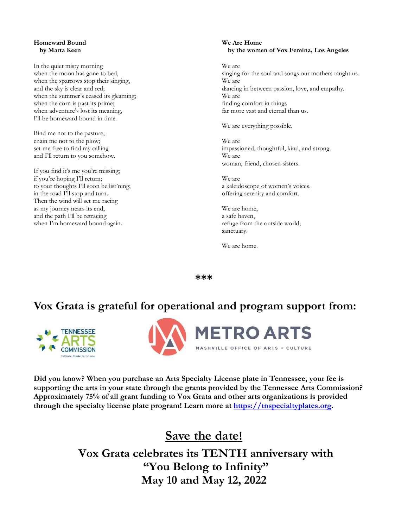### **Homeward Bound by Marta Keen**

In the quiet misty morning when the moon has gone to bed, when the sparrows stop their singing, and the sky is clear and red; when the summer's ceased its gleaming; when the corn is past its prime; when adventure's lost its meaning, I'll be homeward bound in time.

Bind me not to the pasture; chain me not to the plow; set me free to find my calling and I'll return to you somehow.

If you find it's me you're missing; if you're hoping I'll return; to your thoughts I'll soon be list'ning; in the road I'll stop and turn. Then the wind will set me racing as my journey nears its end, and the path I'll be retracing when I'm homeward bound again.

### **We Are Home by the women of Vox Femina, Los Angeles**

We are singing for the soul and songs our mothers taught us. We are dancing in between passion, love, and empathy. We are finding comfort in things far more vast and eternal than us.

We are everything possible.

We are impassioned, thoughtful, kind, and strong. We are woman, friend, chosen sisters.

We are a kaleidoscope of women's voices, offering serenity and comfort.

We are home, a safe haven, refuge from the outside world; sanctuary.

We are home.

**\*\*\***

# **Vox Grata is grateful for operational and program support from:**





**Did you know? When you purchase an Arts Specialty License plate in Tennessee, your fee is supporting the arts in your state through the grants provided by the Tennessee Arts Commission? Approximately 75% of all grant funding to Vox Grata and other arts organizations is provided through the specialty license plate program! Learn more at [https://tnspecialtyplates.org.](https://tnspecialtyplates.org/)**

# **Save the date!**

**Vox Grata celebrates its TENTH anniversary with "You Belong to Infinity" May 10 and May 12, 2022**